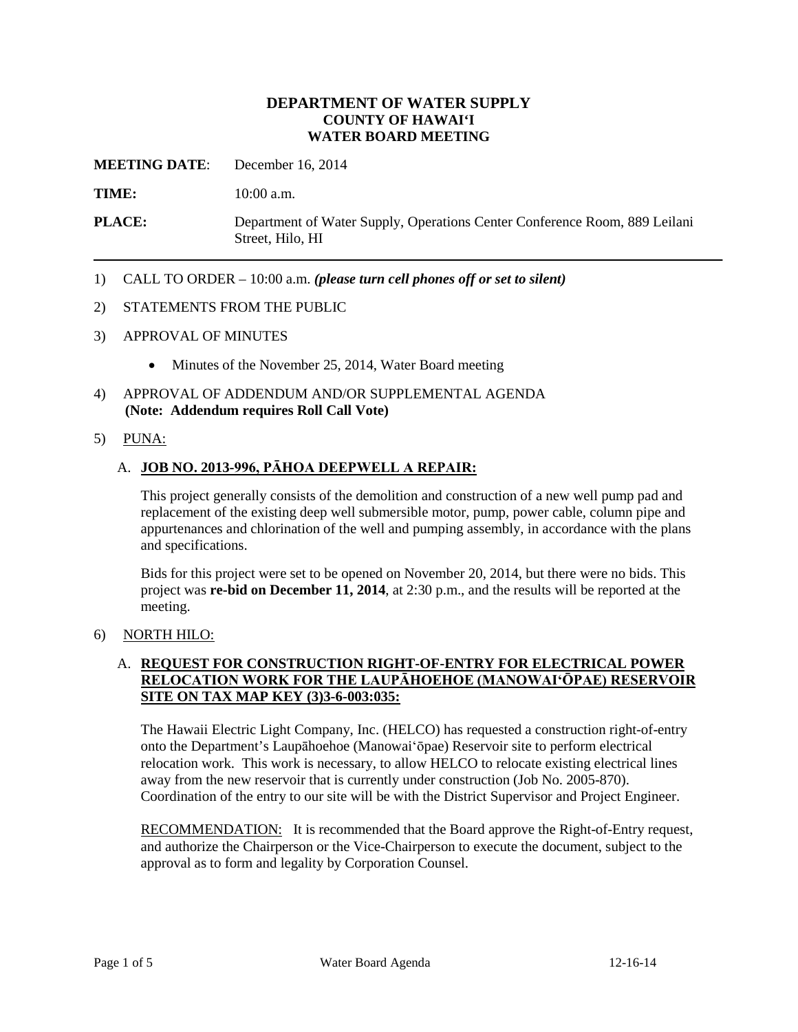## **DEPARTMENT OF WATER SUPPLY COUNTY OF HAWAI'I WATER BOARD MEETING**

**MEETING DATE**: December 16, 2014

**TIME:** 10:00 a.m.

**PLACE:** Department of Water Supply, Operations Center Conference Room, 889 Leilani Street, Hilo, HI

1) CALL TO ORDER – 10:00 a.m. *(please turn cell phones off or set to silent)*

#### 2) STATEMENTS FROM THE PUBLIC

- 3) APPROVAL OF MINUTES
	- Minutes of the November 25, 2014, Water Board meeting
- 4) APPROVAL OF ADDENDUM AND/OR SUPPLEMENTAL AGENDA **(Note: Addendum requires Roll Call Vote)**
- 5) PUNA:

#### A. **JOB NO. 2013-996, PĀHOA DEEPWELL A REPAIR:**

This project generally consists of the demolition and construction of a new well pump pad and replacement of the existing deep well submersible motor, pump, power cable, column pipe and appurtenances and chlorination of the well and pumping assembly, in accordance with the plans and specifications.

Bids for this project were set to be opened on November 20, 2014, but there were no bids. This project was **re-bid on December 11, 2014**, at 2:30 p.m., and the results will be reported at the meeting.

#### 6) NORTH HILO:

## A. **REQUEST FOR CONSTRUCTION RIGHT-OF-ENTRY FOR ELECTRICAL POWER RELOCATION WORK FOR THE LAUPĀHOEHOE (MANOWAI'ŌPAE) RESERVOIR SITE ON TAX MAP KEY (3)3-6-003:035:**

The Hawaii Electric Light Company, Inc. (HELCO) has requested a construction right-of-entry onto the Department's Laupāhoehoe (Manowai'ōpae) Reservoir site to perform electrical relocation work. This work is necessary, to allow HELCO to relocate existing electrical lines away from the new reservoir that is currently under construction (Job No. 2005-870). Coordination of the entry to our site will be with the District Supervisor and Project Engineer.

RECOMMENDATION: It is recommended that the Board approve the Right-of-Entry request, and authorize the Chairperson or the Vice-Chairperson to execute the document, subject to the approval as to form and legality by Corporation Counsel.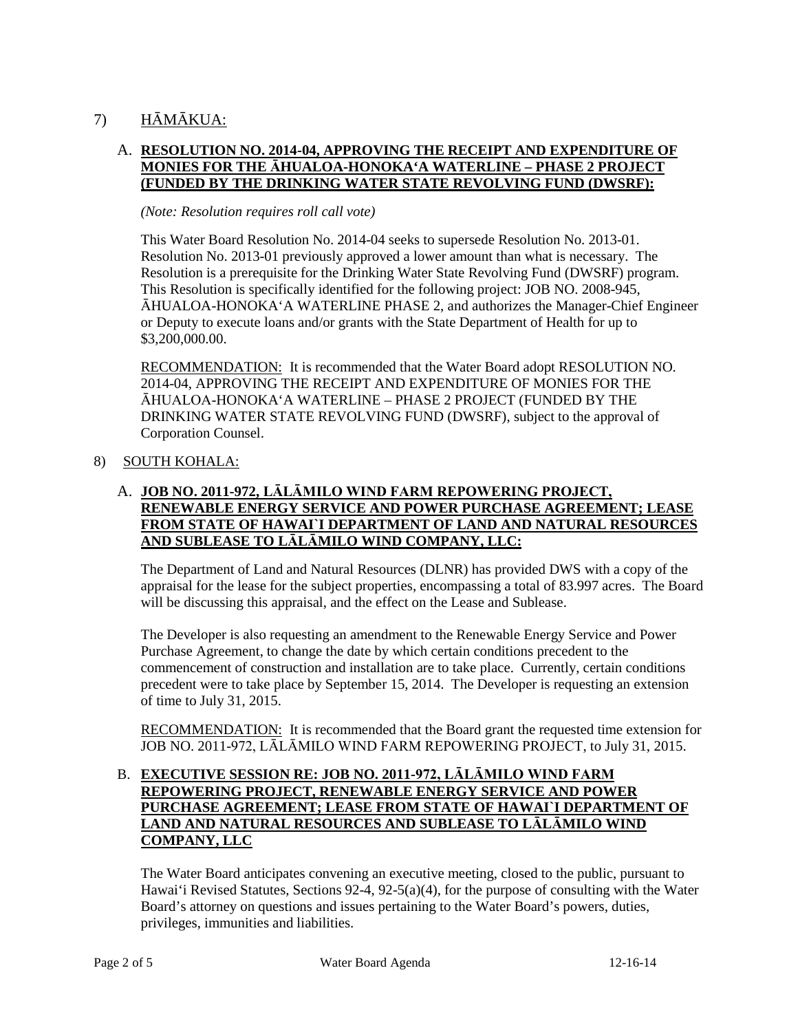# 7) HĀMĀKUA:

## A. **RESOLUTION NO. 2014-04, APPROVING THE RECEIPT AND EXPENDITURE OF MONIES FOR THE ĀHUALOA-HONOKA'A WATERLINE – PHASE 2 PROJECT (FUNDED BY THE DRINKING WATER STATE REVOLVING FUND (DWSRF):**

#### *(Note: Resolution requires roll call vote)*

This Water Board Resolution No. 2014-04 seeks to supersede Resolution No. 2013-01. Resolution No. 2013-01 previously approved a lower amount than what is necessary. The Resolution is a prerequisite for the Drinking Water State Revolving Fund (DWSRF) program. This Resolution is specifically identified for the following project: JOB NO. 2008-945, ĀHUALOA-HONOKA'A WATERLINE PHASE 2, and authorizes the Manager-Chief Engineer or Deputy to execute loans and/or grants with the State Department of Health for up to \$3,200,000.00.

RECOMMENDATION: It is recommended that the Water Board adopt RESOLUTION NO. 2014-04, APPROVING THE RECEIPT AND EXPENDITURE OF MONIES FOR THE ĀHUALOA-HONOKA'A WATERLINE – PHASE 2 PROJECT (FUNDED BY THE DRINKING WATER STATE REVOLVING FUND (DWSRF), subject to the approval of Corporation Counsel.

## 8) SOUTH KOHALA:

## A. **JOB NO. 2011-972, LĀLĀMILO WIND FARM REPOWERING PROJECT, RENEWABLE ENERGY SERVICE AND POWER PURCHASE AGREEMENT; LEASE FROM STATE OF HAWAI`I DEPARTMENT OF LAND AND NATURAL RESOURCES AND SUBLEASE TO LĀLĀMILO WIND COMPANY, LLC:**

The Department of Land and Natural Resources (DLNR) has provided DWS with a copy of the appraisal for the lease for the subject properties, encompassing a total of 83.997 acres. The Board will be discussing this appraisal, and the effect on the Lease and Sublease.

The Developer is also requesting an amendment to the Renewable Energy Service and Power Purchase Agreement, to change the date by which certain conditions precedent to the commencement of construction and installation are to take place. Currently, certain conditions precedent were to take place by September 15, 2014. The Developer is requesting an extension of time to July 31, 2015.

RECOMMENDATION: It is recommended that the Board grant the requested time extension for JOB NO. 2011-972, LĀLĀMILO WIND FARM REPOWERING PROJECT, to July 31, 2015.

## B. **EXECUTIVE SESSION RE: JOB NO. 2011-972, LĀLĀMILO WIND FARM REPOWERING PROJECT, RENEWABLE ENERGY SERVICE AND POWER PURCHASE AGREEMENT; LEASE FROM STATE OF HAWAI`I DEPARTMENT OF LAND AND NATURAL RESOURCES AND SUBLEASE TO LĀLĀMILO WIND COMPANY, LLC**

The Water Board anticipates convening an executive meeting, closed to the public, pursuant to Hawai'i Revised Statutes, Sections 92-4, 92-5(a)(4), for the purpose of consulting with the Water Board's attorney on questions and issues pertaining to the Water Board's powers, duties, privileges, immunities and liabilities.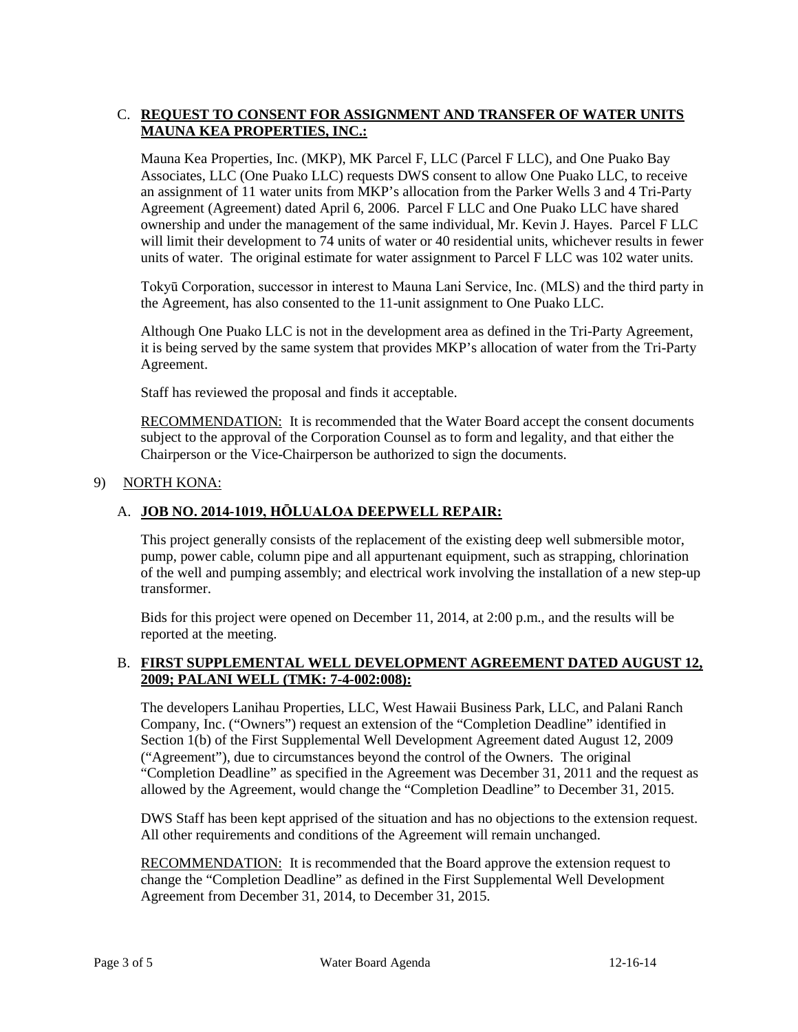## C. **REQUEST TO CONSENT FOR ASSIGNMENT AND TRANSFER OF WATER UNITS MAUNA KEA PROPERTIES, INC.:**

Mauna Kea Properties, Inc. (MKP), MK Parcel F, LLC (Parcel F LLC), and One Puako Bay Associates, LLC (One Puako LLC) requests DWS consent to allow One Puako LLC, to receive an assignment of 11 water units from MKP's allocation from the Parker Wells 3 and 4 Tri-Party Agreement (Agreement) dated April 6, 2006. Parcel F LLC and One Puako LLC have shared ownership and under the management of the same individual, Mr. Kevin J. Hayes. Parcel F LLC will limit their development to 74 units of water or 40 residential units, whichever results in fewer units of water. The original estimate for water assignment to Parcel F LLC was 102 water units.

Tokyū Corporation, successor in interest to Mauna Lani Service, Inc. (MLS) and the third party in the Agreement, has also consented to the 11-unit assignment to One Puako LLC.

Although One Puako LLC is not in the development area as defined in the Tri-Party Agreement, it is being served by the same system that provides MKP's allocation of water from the Tri-Party Agreement.

Staff has reviewed the proposal and finds it acceptable.

RECOMMENDATION: It is recommended that the Water Board accept the consent documents subject to the approval of the Corporation Counsel as to form and legality, and that either the Chairperson or the Vice-Chairperson be authorized to sign the documents.

## 9) NORTH KONA:

## A. **JOB NO. 2014-1019, HŌLUALOA DEEPWELL REPAIR:**

This project generally consists of the replacement of the existing deep well submersible motor, pump, power cable, column pipe and all appurtenant equipment, such as strapping, chlorination of the well and pumping assembly; and electrical work involving the installation of a new step-up transformer.

Bids for this project were opened on December 11, 2014, at 2:00 p.m., and the results will be reported at the meeting.

## B. **FIRST SUPPLEMENTAL WELL DEVELOPMENT AGREEMENT DATED AUGUST 12, 2009; PALANI WELL (TMK: 7-4-002:008):**

The developers Lanihau Properties, LLC, West Hawaii Business Park, LLC, and Palani Ranch Company, Inc. ("Owners") request an extension of the "Completion Deadline" identified in Section 1(b) of the First Supplemental Well Development Agreement dated August 12, 2009 ("Agreement"), due to circumstances beyond the control of the Owners. The original "Completion Deadline" as specified in the Agreement was December 31, 2011 and the request as allowed by the Agreement, would change the "Completion Deadline" to December 31, 2015.

DWS Staff has been kept apprised of the situation and has no objections to the extension request. All other requirements and conditions of the Agreement will remain unchanged.

RECOMMENDATION: It is recommended that the Board approve the extension request to change the "Completion Deadline" as defined in the First Supplemental Well Development Agreement from December 31, 2014, to December 31, 2015.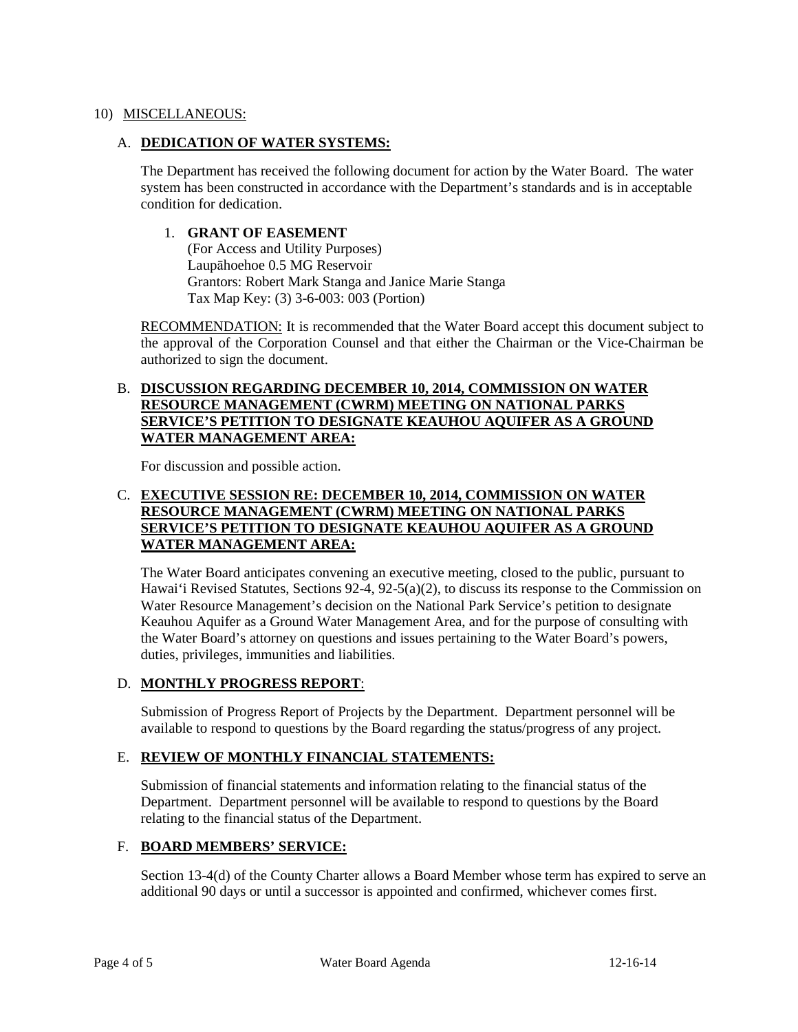### 10) MISCELLANEOUS:

### A. **DEDICATION OF WATER SYSTEMS:**

The Department has received the following document for action by the Water Board. The water system has been constructed in accordance with the Department's standards and is in acceptable condition for dedication.

### 1. **GRANT OF EASEMENT**

(For Access and Utility Purposes) Laupāhoehoe 0.5 MG Reservoir Grantors: Robert Mark Stanga and Janice Marie Stanga Tax Map Key: (3) 3-6-003: 003 (Portion)

RECOMMENDATION: It is recommended that the Water Board accept this document subject to the approval of the Corporation Counsel and that either the Chairman or the Vice-Chairman be authorized to sign the document.

### B. **DISCUSSION REGARDING DECEMBER 10, 2014, COMMISSION ON WATER RESOURCE MANAGEMENT (CWRM) MEETING ON NATIONAL PARKS SERVICE'S PETITION TO DESIGNATE KEAUHOU AQUIFER AS A GROUND WATER MANAGEMENT AREA:**

For discussion and possible action.

## C. **EXECUTIVE SESSION RE: DECEMBER 10, 2014, COMMISSION ON WATER RESOURCE MANAGEMENT (CWRM) MEETING ON NATIONAL PARKS SERVICE'S PETITION TO DESIGNATE KEAUHOU AQUIFER AS A GROUND WATER MANAGEMENT AREA:**

The Water Board anticipates convening an executive meeting, closed to the public, pursuant to Hawai'i Revised Statutes, Sections 92-4, 92-5(a)(2), to discuss its response to the Commission on Water Resource Management's decision on the National Park Service's petition to designate Keauhou Aquifer as a Ground Water Management Area, and for the purpose of consulting with the Water Board's attorney on questions and issues pertaining to the Water Board's powers, duties, privileges, immunities and liabilities.

#### D. **MONTHLY PROGRESS REPORT**:

Submission of Progress Report of Projects by the Department. Department personnel will be available to respond to questions by the Board regarding the status/progress of any project.

## E. **REVIEW OF MONTHLY FINANCIAL STATEMENTS:**

Submission of financial statements and information relating to the financial status of the Department. Department personnel will be available to respond to questions by the Board relating to the financial status of the Department.

## F. **BOARD MEMBERS' SERVICE:**

Section 13-4(d) of the County Charter allows a Board Member whose term has expired to serve an additional 90 days or until a successor is appointed and confirmed, whichever comes first.